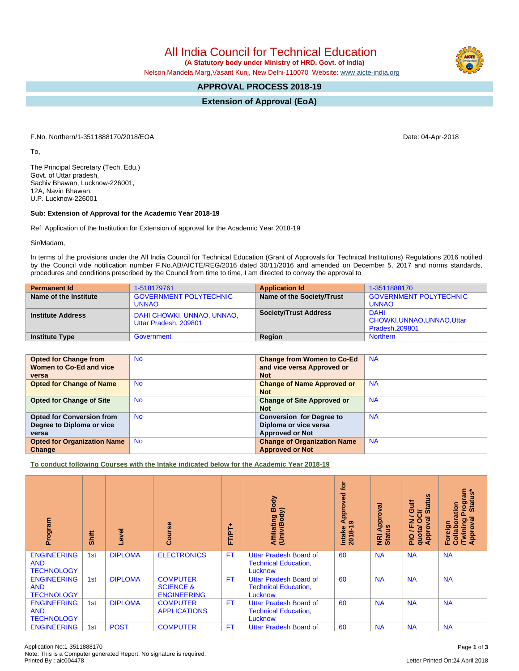## All India Council for Technical Education

 **(A Statutory body under Ministry of HRD, Govt. of India)**

Nelson Mandela Marg,Vasant Kunj, New Delhi-110070 Website: [www.aicte-india.org](http://www.aicte-india.org)

## **APPROVAL PROCESS 2018-19**

**Extension of Approval (EoA)**

F.No. Northern/1-3511888170/2018/EOA Date: 04-Apr-2018

To,

The Principal Secretary (Tech. Edu.) Govt. of Uttar pradesh, Sachiv Bhawan, Lucknow-226001, 12A, Navin Bhawan, U.P. Lucknow-226001

## **Sub: Extension of Approval for the Academic Year 2018-19**

Ref: Application of the Institution for Extension of approval for the Academic Year 2018-19

Sir/Madam,

In terms of the provisions under the All India Council for Technical Education (Grant of Approvals for Technical Institutions) Regulations 2016 notified by the Council vide notification number F.No.AB/AICTE/REG/2016 dated 30/11/2016 and amended on December 5, 2017 and norms standards, procedures and conditions prescribed by the Council from time to time, I am directed to convey the approval to

| <b>Permanent Id</b>      | 1-518179761                                         | <b>Application Id</b>        | 1-3511888170                                                  |
|--------------------------|-----------------------------------------------------|------------------------------|---------------------------------------------------------------|
| Name of the Institute    | <b>GOVERNMENT POLYTECHNIC</b>                       | Name of the Society/Trust    | <b>GOVERNMENT POLYTECHNIC</b>                                 |
|                          | <b>UNNAO</b>                                        |                              | <b>UNNAO</b>                                                  |
| <b>Institute Address</b> | DAHI CHOWKI, UNNAO, UNNAO,<br>Uttar Pradesh, 209801 | <b>Society/Trust Address</b> | <b>DAHI</b><br>CHOWKI, UNNAO, UNNAO, Uttar<br>Pradesh, 209801 |
| <b>Institute Type</b>    | Government                                          | Region                       | <b>Northern</b>                                               |

| <b>Opted for Change from</b>       | <b>No</b> | <b>Change from Women to Co-Ed</b>  | <b>NA</b> |
|------------------------------------|-----------|------------------------------------|-----------|
| Women to Co-Ed and vice            |           | and vice versa Approved or         |           |
| versa                              |           | <b>Not</b>                         |           |
| <b>Opted for Change of Name</b>    | <b>No</b> | <b>Change of Name Approved or</b>  | <b>NA</b> |
|                                    |           | <b>Not</b>                         |           |
| <b>Opted for Change of Site</b>    | <b>No</b> | <b>Change of Site Approved or</b>  | <b>NA</b> |
|                                    |           | <b>Not</b>                         |           |
| <b>Opted for Conversion from</b>   | <b>No</b> | <b>Conversion for Degree to</b>    | <b>NA</b> |
| Degree to Diploma or vice          |           | Diploma or vice versa              |           |
| versa                              |           | <b>Approved or Not</b>             |           |
| <b>Opted for Organization Name</b> | <b>No</b> | <b>Change of Organization Name</b> | <b>NA</b> |
| Change                             |           | <b>Approved or Not</b>             |           |

**To conduct following Courses with the Intake indicated below for the Academic Year 2018-19**

| Program                                               | Shift           | Level          | rse<br>ලි                                                     | FT/PT+    | Body<br>Affiliating Book<br>(Univ/Body)                                 | <b>b</b><br>Approved<br>ၜ<br>$2018 - 1$<br>Intake | ड़<br>Approv<br>NRI Ap<br>Status | suns<br>Guif<br>ぁ<br>ಕ<br>∽<br>0<br>π<br>준<br>quotal<br>Appro<br><b>DI</b> d | <b>rogram</b><br>Status*<br>boration<br>ō<br>ζā<br><b>Twining</b><br>Approval<br>Foreign<br>Collat |
|-------------------------------------------------------|-----------------|----------------|---------------------------------------------------------------|-----------|-------------------------------------------------------------------------|---------------------------------------------------|----------------------------------|------------------------------------------------------------------------------|----------------------------------------------------------------------------------------------------|
| <b>ENGINEERING</b><br><b>AND</b><br><b>TECHNOLOGY</b> | 1st             | <b>DIPLOMA</b> | <b>ELECTRONICS</b>                                            | <b>FT</b> | <b>Uttar Pradesh Board of</b><br><b>Technical Education,</b><br>Lucknow | 60                                                | <b>NA</b>                        | <b>NA</b>                                                                    | <b>NA</b>                                                                                          |
| <b>ENGINEERING</b><br><b>AND</b><br><b>TECHNOLOGY</b> | 1 <sub>st</sub> | <b>DIPLOMA</b> | <b>COMPUTER</b><br><b>SCIENCE &amp;</b><br><b>ENGINEERING</b> | <b>FT</b> | <b>Uttar Pradesh Board of</b><br><b>Technical Education,</b><br>Lucknow | 60                                                | <b>NA</b>                        | <b>NA</b>                                                                    | <b>NA</b>                                                                                          |
| <b>ENGINEERING</b><br><b>AND</b><br><b>TECHNOLOGY</b> | 1st             | <b>DIPLOMA</b> | <b>COMPUTER</b><br><b>APPLICATIONS</b>                        | <b>FT</b> | <b>Uttar Pradesh Board of</b><br><b>Technical Education,</b><br>Lucknow | 60                                                | <b>NA</b>                        | <b>NA</b>                                                                    | <b>NA</b>                                                                                          |
| <b>ENGINEERING</b>                                    | 1st             | <b>POST</b>    | <b>COMPUTER</b>                                               | FT.       | <b>Uttar Pradesh Board of</b>                                           | 60                                                | <b>NA</b>                        | <b>NA</b>                                                                    | <b>NA</b>                                                                                          |

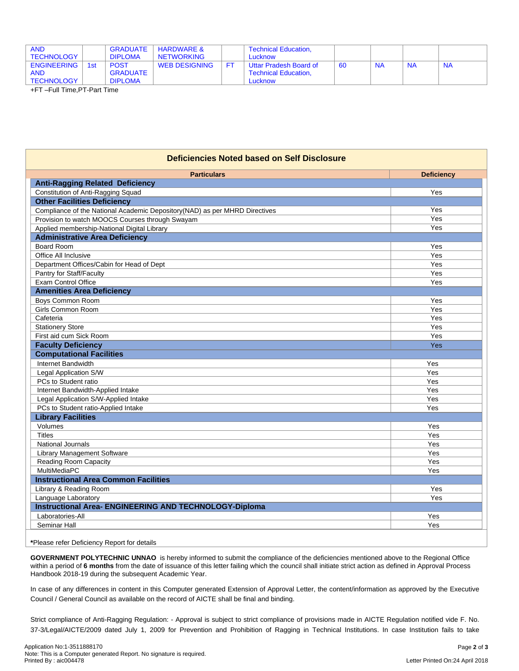| <b>AND</b><br><b>TECHNOLOGY</b>  |     | GRADUATE<br><b>DIPLOMA</b>     | <b>HARDWARE &amp;</b><br><b>NETWORKING</b> | <b>Technical Education.</b><br>Lucknow                |    |           |           |           |
|----------------------------------|-----|--------------------------------|--------------------------------------------|-------------------------------------------------------|----|-----------|-----------|-----------|
|                                  |     |                                |                                            |                                                       |    |           |           |           |
| <b>ENGINEERING</b><br><b>AND</b> | 1st | <b>POST</b><br><b>GRADUATE</b> | WEB DESIGNING                              | Uttar Pradesh Board of<br><b>Technical Education.</b> | 60 | <b>NA</b> | <b>NA</b> | <b>NA</b> |
| <b>TECHNOLOGY</b>                |     | <b>DIPLOMA</b>                 |                                            | Lucknow                                               |    |           |           |           |
|                                  |     |                                |                                            |                                                       |    |           |           |           |

+FT –Full Time,PT-Part Time

| <b>Deficiencies Noted based on Self Disclosure</b>                         |                   |  |  |  |  |
|----------------------------------------------------------------------------|-------------------|--|--|--|--|
| <b>Particulars</b>                                                         | <b>Deficiency</b> |  |  |  |  |
| <b>Anti-Ragging Related Deficiency</b>                                     |                   |  |  |  |  |
| Constitution of Anti-Ragging Squad                                         | Yes               |  |  |  |  |
| <b>Other Facilities Deficiency</b>                                         |                   |  |  |  |  |
| Compliance of the National Academic Depository(NAD) as per MHRD Directives | Yes               |  |  |  |  |
| Provision to watch MOOCS Courses through Swayam                            | Yes               |  |  |  |  |
| Applied membership-National Digital Library                                | Yes               |  |  |  |  |
| <b>Administrative Area Deficiency</b>                                      |                   |  |  |  |  |
| <b>Board Room</b>                                                          | Yes               |  |  |  |  |
| Office All Inclusive                                                       | Yes               |  |  |  |  |
| Department Offices/Cabin for Head of Dept                                  | Yes               |  |  |  |  |
| Pantry for Staff/Faculty                                                   | Yes               |  |  |  |  |
| <b>Exam Control Office</b>                                                 | Yes               |  |  |  |  |
| <b>Amenities Area Deficiency</b>                                           |                   |  |  |  |  |
| <b>Boys Common Room</b>                                                    | Yes               |  |  |  |  |
| Girls Common Room                                                          | Yes               |  |  |  |  |
| Cafeteria                                                                  | Yes               |  |  |  |  |
| <b>Stationery Store</b>                                                    | Yes               |  |  |  |  |
| First aid cum Sick Room                                                    | Yes               |  |  |  |  |
| <b>Faculty Deficiency</b>                                                  | Yes               |  |  |  |  |
| <b>Computational Facilities</b>                                            |                   |  |  |  |  |
| Internet Bandwidth                                                         | Yes               |  |  |  |  |
| Legal Application S/W                                                      | Yes               |  |  |  |  |
| PCs to Student ratio                                                       | Yes               |  |  |  |  |
| Internet Bandwidth-Applied Intake                                          | Yes               |  |  |  |  |
| Legal Application S/W-Applied Intake                                       | Yes               |  |  |  |  |
| PCs to Student ratio-Applied Intake                                        | Yes               |  |  |  |  |
| <b>Library Facilities</b>                                                  |                   |  |  |  |  |
| Volumes                                                                    | Yes               |  |  |  |  |
| <b>Titles</b>                                                              | Yes               |  |  |  |  |
| <b>National Journals</b>                                                   | Yes               |  |  |  |  |
| <b>Library Management Software</b>                                         | Yes               |  |  |  |  |
| Reading Room Capacity                                                      | Yes               |  |  |  |  |
| MultiMediaPC                                                               | Yes               |  |  |  |  |
| <b>Instructional Area Common Facilities</b>                                |                   |  |  |  |  |
| Library & Reading Room                                                     | Yes               |  |  |  |  |
| Language Laboratory<br>Yes                                                 |                   |  |  |  |  |
| <b>Instructional Area- ENGINEERING AND TECHNOLOGY-Diploma</b>              |                   |  |  |  |  |
| Laboratories-All                                                           | Yes               |  |  |  |  |
| Seminar Hall                                                               | Yes               |  |  |  |  |
|                                                                            |                   |  |  |  |  |

**\***Please refer Deficiency Report for details

**GOVERNMENT POLYTECHNIC UNNAO** is hereby informed to submit the compliance of the deficiencies mentioned above to the Regional Office within a period of **6 months** from the date of issuance of this letter failing which the council shall initiate strict action as defined in Approval Process Handbook 2018-19 during the subsequent Academic Year.

In case of any differences in content in this Computer generated Extension of Approval Letter, the content/information as approved by the Executive Council / General Council as available on the record of AICTE shall be final and binding.

Strict compliance of Anti-Ragging Regulation: - Approval is subject to strict compliance of provisions made in AICTE Regulation notified vide F. No. 37-3/Legal/AICTE/2009 dated July 1, 2009 for Prevention and Prohibition of Ragging in Technical Institutions. In case Institution fails to take